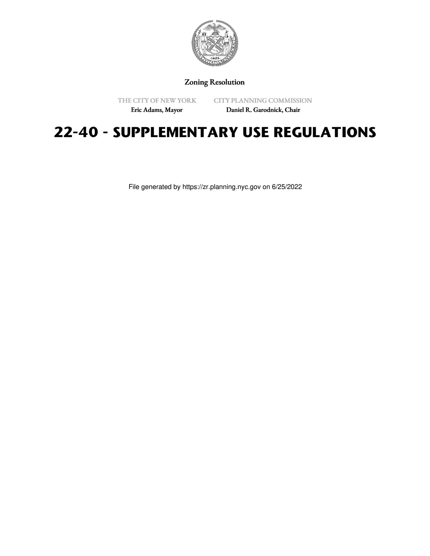

Zoning Resolution

THE CITY OF NEW YORK

CITY PLANNING COMMISSION

Eric Adams, Mayor

Daniel R. Garodnick, Chair

# **22-40 - SUPPLEMENTARY USE REGULATIONS**

File generated by https://zr.planning.nyc.gov on 6/25/2022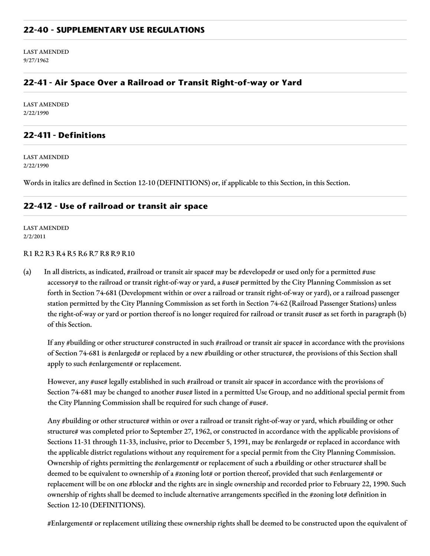#### **22-40 - SUPPLEMENTARY USE REGULATIONS**

LAST AMENDED 9/27/1962

### **22-41 - Air Space Over a Railroad or Transit Right-of-way or Yard**

LAST AMENDED 2/22/1990

#### **22-411 - Definitions**

LAST AMENDED 2/22/1990

Words in italics are defined in Section 12-10 (DEFINITIONS) or, if applicable to this Section, in this Section.

#### **22-412 - Use of railroad or transit air space**

LAST AMENDED 2/2/2011

#### R1 R2 R3 R4 R5 R6 R7 R8 R9 R10

(a) In all districts, as indicated, #railroad or transit air space# may be #developed# or used only for a permitted #use accessory# to the railroad or transit right-of-way or yard, a #use# permitted by the City Planning Commission as set forth in Section 74-681 (Development within or over a railroad or transit right-of-way or yard), or a railroad passenger station permitted by the City Planning Commission as set forth in Section 74-62 (Railroad Passenger Stations) unless the right-of-way or yard or portion thereof is no longer required for railroad or transit #use# as set forth in paragraph (b) of this Section.

If any #building or other structure# constructed in such #railroad or transit air space# in accordance with the provisions of Section 74-681 is #enlarged# or replaced by a new #building or other structure#, the provisions of this Section shall apply to such #enlargement# or replacement.

However, any #use# legally established in such #railroad or transit air space# in accordance with the provisions of Section 74-681 may be changed to another #use# listed in a permitted Use Group, and no additional special permit from the City Planning Commission shall be required for such change of #use#.

Any #building or other structure# within or over a railroad or transit right-of-way or yard, which #building or other structure# was completed prior to September 27, 1962, or constructed in accordance with the applicable provisions of Sections 11-31 through 11-33, inclusive, prior to December 5, 1991, may be #enlarged# or replaced in accordance with the applicable district regulations without any requirement for a special permit from the City Planning Commission. Ownership of rights permitting the #enlargement# or replacement of such a #building or other structure# shall be deemed to be equivalent to ownership of a #zoning lot# or portion thereof, provided that such #enlargement# or replacement will be on one #block# and the rights are in single ownership and recorded prior to February 22, 1990. Such ownership of rights shall be deemed to include alternative arrangements specified in the #zoning lot# definition in Section 12-10 (DEFINITIONS).

#Enlargement# or replacement utilizing these ownership rights shall be deemed to be constructed upon the equivalent of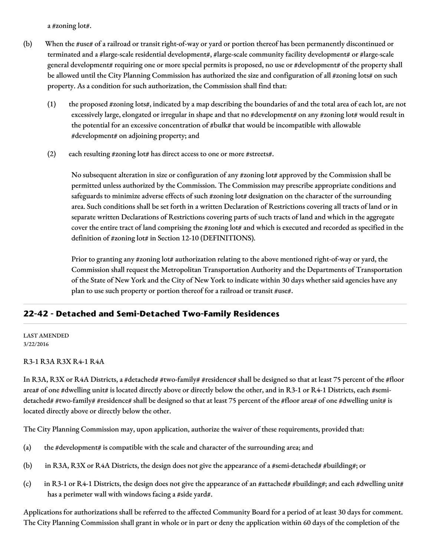a #zoning lot#.

- (b) When the #use# of a railroad or transit right-of-way or yard or portion thereof has been permanently discontinued or terminated and a #large-scale residential development#, #large-scale community facility development# or #large-scale general development# requiring one or more special permits is proposed, no use or #development# of the property shall be allowed until the City Planning Commission has authorized the size and configuration of all #zoning lots# on such property. As a condition for such authorization, the Commission shall find that:
	- (1) the proposed #zoning lots#, indicated by a map describing the boundaries of and the total area of each lot, are not excessively large, elongated or irregular in shape and that no #development# on any #zoning lot# would result in the potential for an excessive concentration of #bulk# that would be incompatible with allowable #development# on adjoining property; and
	- (2) each resulting #zoning lot# has direct access to one or more #streets#.

No subsequent alteration in size or configuration of any #zoning lot# approved by the Commission shall be permitted unless authorized by the Commission. The Commission may prescribe appropriate conditions and safeguards to minimize adverse effects of such #zoning lot# designation on the character of the surrounding area. Such conditions shall be set forth in a written Declaration of Restrictions covering all tracts of land or in separate written Declarations of Restrictions covering parts of such tracts of land and which in the aggregate cover the entire tract of land comprising the #zoning lot# and which is executed and recorded as specified in the definition of #zoning lot# in Section 12-10 (DEFINITIONS).

Prior to granting any #zoning lot# authorization relating to the above mentioned right-of-way or yard, the Commission shall request the Metropolitan Transportation Authority and the Departments of Transportation of the State of New York and the City of New York to indicate within 30 days whether said agencies have any plan to use such property or portion thereof for a railroad or transit #use#.

## **22-42 - Detached and Semi-Detached Two-Family Residences**

#### LAST AMENDED 3/22/2016

#### R3-1 R3A R3X R4-1 R4A

In R3A, R3X or R4A Districts, a #detached# #two-family# #residence# shall be designed so that at least 75 percent of the #floor area# of one #dwelling unit# is located directly above or directly below the other, and in R3-1 or R4-1 Districts, each #semidetached# #two-family# #residence# shall be designed so that at least 75 percent of the #floor area# of one #dwelling unit# is located directly above or directly below the other.

The City Planning Commission may, upon application, authorize the waiver of these requirements, provided that:

- (a) the #development# is compatible with the scale and character of the surrounding area; and
- (b) in R3A, R3X or R4A Districts, the design does not give the appearance of a #semi-detached# #building#; or
- (c) in R3-1 or R4-1 Districts, the design does not give the appearance of an #attached# #building#; and each #dwelling unit# has a perimeter wall with windows facing a #side yard#.

Applications for authorizations shall be referred to the affected Community Board for a period of at least 30 days for comment. The City Planning Commission shall grant in whole or in part or deny the application within 60 days of the completion of the